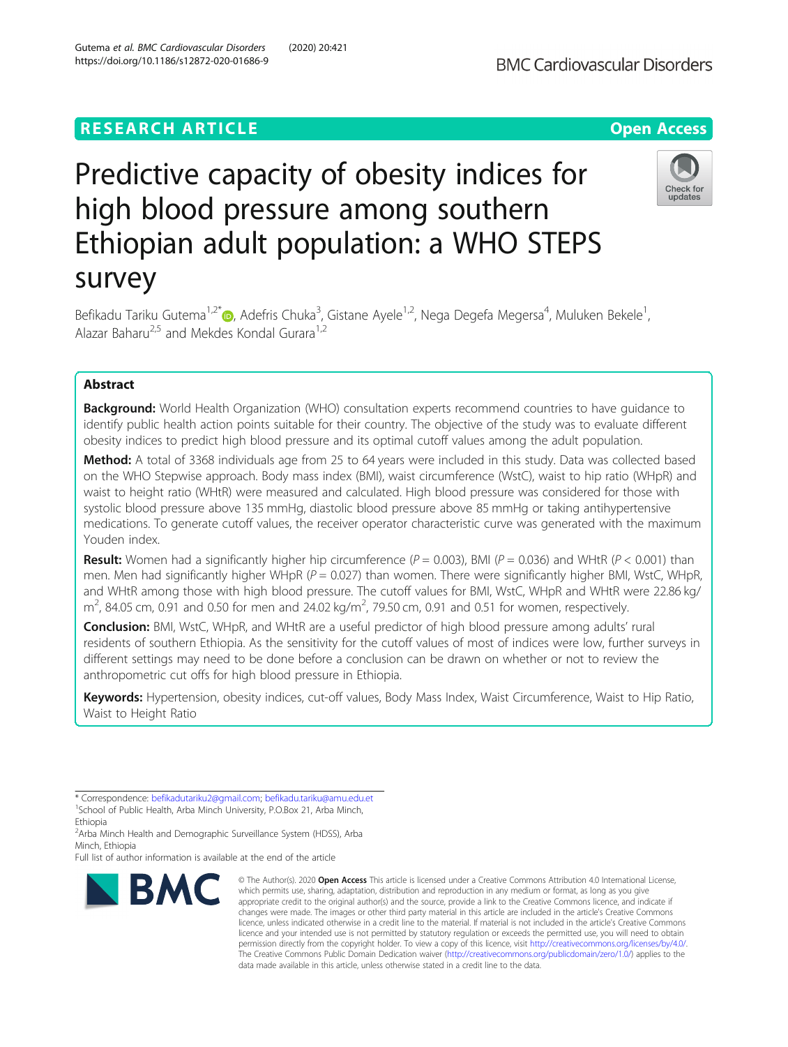# **RESEARCH ARTICLE Example 2014 12:30 The Contract of Contract ACCESS** Predictive capacity of obesity indices for

**BMC Cardiovascular Disorders** 

# high blood pressure among southern Ethiopian adult population: a WHO STEPS survey

Befikadu Tariku Gutema<sup>1[,](http://orcid.org/0000-0003-0574-6074)2\*</sup>®, Adefris Chuka<sup>3</sup>, Gistane Ayele<sup>1,2</sup>, Nega Degefa Megersa<sup>4</sup>, Muluken Bekele<sup>1</sup> , Alazar Baharu<sup>2,5</sup> and Mekdes Kondal Gurara<sup>1,2</sup>

# Abstract

**Background:** World Health Organization (WHO) consultation experts recommend countries to have quidance to identify public health action points suitable for their country. The objective of the study was to evaluate different obesity indices to predict high blood pressure and its optimal cutoff values among the adult population.

Method: A total of 3368 individuals age from 25 to 64 years were included in this study. Data was collected based on the WHO Stepwise approach. Body mass index (BMI), waist circumference (WstC), waist to hip ratio (WHpR) and waist to height ratio (WHtR) were measured and calculated. High blood pressure was considered for those with systolic blood pressure above 135 mmHg, diastolic blood pressure above 85 mmHg or taking antihypertensive medications. To generate cutoff values, the receiver operator characteristic curve was generated with the maximum Youden index.

**Result:** Women had a significantly higher hip circumference ( $P = 0.003$ ), BMI ( $P = 0.036$ ) and WHtR ( $P < 0.001$ ) than men. Men had significantly higher WHpR ( $P = 0.027$ ) than women. There were significantly higher BMI, WstC, WHpR, and WHtR among those with high blood pressure. The cutoff values for BMI, WstC, WHpR and WHtR were 22.86 kg/  $\text{m}^2$ , 84.05 cm, 0.91 and 0.50 for men and 24.02 kg/m<sup>2</sup>, 79.50 cm, 0.91 and 0.51 for women, respectively.

Conclusion: BMI, WstC, WHpR, and WHtR are a useful predictor of high blood pressure among adults' rural residents of southern Ethiopia. As the sensitivity for the cutoff values of most of indices were low, further surveys in different settings may need to be done before a conclusion can be drawn on whether or not to review the anthropometric cut offs for high blood pressure in Ethiopia.

Keywords: Hypertension, obesity indices, cut-off values, Body Mass Index, Waist Circumference, Waist to Hip Ratio, Waist to Height Ratio

Full list of author information is available at the end of the article



<sup>©</sup> The Author(s), 2020 **Open Access** This article is licensed under a Creative Commons Attribution 4.0 International License, which permits use, sharing, adaptation, distribution and reproduction in any medium or format, as long as you give appropriate credit to the original author(s) and the source, provide a link to the Creative Commons licence, and indicate if changes were made. The images or other third party material in this article are included in the article's Creative Commons licence, unless indicated otherwise in a credit line to the material. If material is not included in the article's Creative Commons licence and your intended use is not permitted by statutory regulation or exceeds the permitted use, you will need to obtain permission directly from the copyright holder. To view a copy of this licence, visit [http://creativecommons.org/licenses/by/4.0/.](http://creativecommons.org/licenses/by/4.0/) The Creative Commons Public Domain Dedication waiver [\(http://creativecommons.org/publicdomain/zero/1.0/](http://creativecommons.org/publicdomain/zero/1.0/)) applies to the data made available in this article, unless otherwise stated in a credit line to the data.



<sup>\*</sup> Correspondence: [befikadutariku2@gmail.com;](mailto:befikadutariku2@gmail.com) [befikadu.tariku@amu.edu.et](mailto:befikadu.tariku@amu.edu.et) <sup>1</sup> <sup>1</sup>School of Public Health, Arba Minch University, P.O.Box 21, Arba Minch,

Ethiopia

<sup>&</sup>lt;sup>2</sup> Arba Minch Health and Demographic Surveillance System (HDSS), Arba Minch, Ethiopia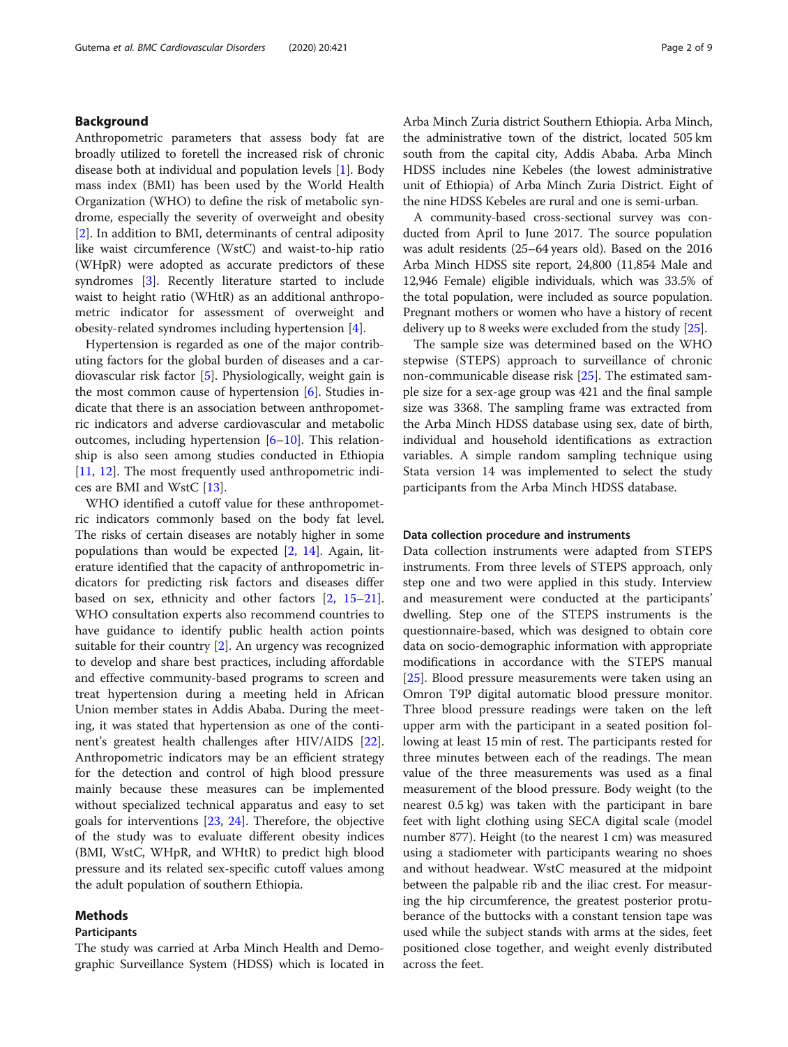# Background

Anthropometric parameters that assess body fat are broadly utilized to foretell the increased risk of chronic disease both at individual and population levels [[1\]](#page-7-0). Body mass index (BMI) has been used by the World Health Organization (WHO) to define the risk of metabolic syndrome, especially the severity of overweight and obesity [[2\]](#page-7-0). In addition to BMI, determinants of central adiposity like waist circumference (WstC) and waist-to-hip ratio (WHpR) were adopted as accurate predictors of these syndromes [\[3](#page-7-0)]. Recently literature started to include waist to height ratio (WHtR) as an additional anthropometric indicator for assessment of overweight and obesity-related syndromes including hypertension [[4](#page-7-0)].

Hypertension is regarded as one of the major contributing factors for the global burden of diseases and a cardiovascular risk factor [\[5](#page-7-0)]. Physiologically, weight gain is the most common cause of hypertension [[6\]](#page-7-0). Studies indicate that there is an association between anthropometric indicators and adverse cardiovascular and metabolic outcomes, including hypertension [[6](#page-7-0)–[10\]](#page-7-0). This relationship is also seen among studies conducted in Ethiopia [[11,](#page-7-0) [12](#page-7-0)]. The most frequently used anthropometric indices are BMI and WstC [\[13](#page-7-0)].

WHO identified a cutoff value for these anthropometric indicators commonly based on the body fat level. The risks of certain diseases are notably higher in some populations than would be expected [[2,](#page-7-0) [14\]](#page-8-0). Again, literature identified that the capacity of anthropometric indicators for predicting risk factors and diseases differ based on sex, ethnicity and other factors [[2,](#page-7-0) [15](#page-8-0)–[21](#page-8-0)]. WHO consultation experts also recommend countries to have guidance to identify public health action points suitable for their country [[2\]](#page-7-0). An urgency was recognized to develop and share best practices, including affordable and effective community-based programs to screen and treat hypertension during a meeting held in African Union member states in Addis Ababa. During the meeting, it was stated that hypertension as one of the continent's greatest health challenges after HIV/AIDS [\[22](#page-8-0)]. Anthropometric indicators may be an efficient strategy for the detection and control of high blood pressure mainly because these measures can be implemented without specialized technical apparatus and easy to set goals for interventions [[23,](#page-8-0) [24](#page-8-0)]. Therefore, the objective of the study was to evaluate different obesity indices (BMI, WstC, WHpR, and WHtR) to predict high blood pressure and its related sex-specific cutoff values among the adult population of southern Ethiopia.

# Methods

# Participants

The study was carried at Arba Minch Health and Demographic Surveillance System (HDSS) which is located in Arba Minch Zuria district Southern Ethiopia. Arba Minch, the administrative town of the district, located 505 km south from the capital city, Addis Ababa. Arba Minch HDSS includes nine Kebeles (the lowest administrative unit of Ethiopia) of Arba Minch Zuria District. Eight of the nine HDSS Kebeles are rural and one is semi-urban.

A community-based cross-sectional survey was conducted from April to June 2017. The source population was adult residents (25–64 years old). Based on the 2016 Arba Minch HDSS site report, 24,800 (11,854 Male and 12,946 Female) eligible individuals, which was 33.5% of the total population, were included as source population. Pregnant mothers or women who have a history of recent delivery up to 8 weeks were excluded from the study [[25](#page-8-0)].

The sample size was determined based on the WHO stepwise (STEPS) approach to surveillance of chronic non-communicable disease risk [\[25](#page-8-0)]. The estimated sample size for a sex-age group was 421 and the final sample size was 3368. The sampling frame was extracted from the Arba Minch HDSS database using sex, date of birth, individual and household identifications as extraction variables. A simple random sampling technique using Stata version 14 was implemented to select the study participants from the Arba Minch HDSS database.

# Data collection procedure and instruments

Data collection instruments were adapted from STEPS instruments. From three levels of STEPS approach, only step one and two were applied in this study. Interview and measurement were conducted at the participants' dwelling. Step one of the STEPS instruments is the questionnaire-based, which was designed to obtain core data on socio-demographic information with appropriate modifications in accordance with the STEPS manual [[25\]](#page-8-0). Blood pressure measurements were taken using an Omron T9P digital automatic blood pressure monitor. Three blood pressure readings were taken on the left upper arm with the participant in a seated position following at least 15 min of rest. The participants rested for three minutes between each of the readings. The mean value of the three measurements was used as a final measurement of the blood pressure. Body weight (to the nearest 0.5 kg) was taken with the participant in bare feet with light clothing using SECA digital scale (model number 877). Height (to the nearest 1 cm) was measured using a stadiometer with participants wearing no shoes and without headwear. WstC measured at the midpoint between the palpable rib and the iliac crest. For measuring the hip circumference, the greatest posterior protuberance of the buttocks with a constant tension tape was used while the subject stands with arms at the sides, feet positioned close together, and weight evenly distributed across the feet.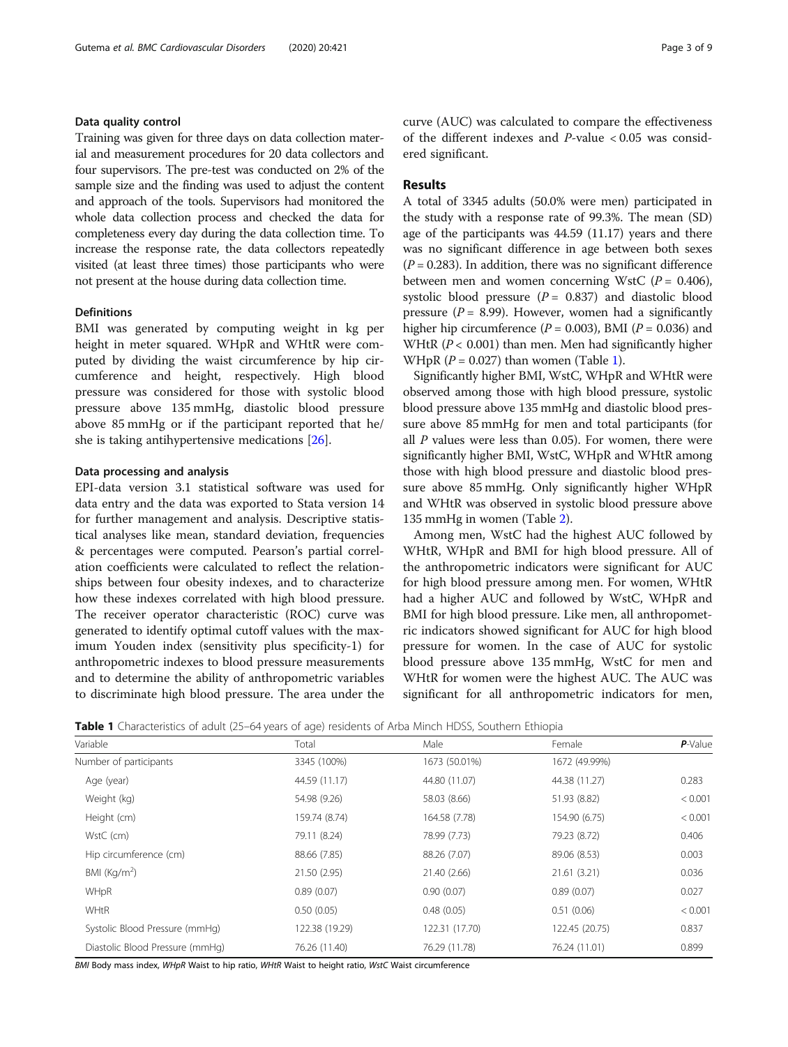# Data quality control

Training was given for three days on data collection material and measurement procedures for 20 data collectors and four supervisors. The pre-test was conducted on 2% of the sample size and the finding was used to adjust the content and approach of the tools. Supervisors had monitored the whole data collection process and checked the data for completeness every day during the data collection time. To increase the response rate, the data collectors repeatedly visited (at least three times) those participants who were not present at the house during data collection time.

# Definitions

BMI was generated by computing weight in kg per height in meter squared. WHpR and WHtR were computed by dividing the waist circumference by hip circumference and height, respectively. High blood pressure was considered for those with systolic blood pressure above 135 mmHg, diastolic blood pressure above 85 mmHg or if the participant reported that he/ she is taking antihypertensive medications [[26](#page-8-0)].

# Data processing and analysis

EPI-data version 3.1 statistical software was used for data entry and the data was exported to Stata version 14 for further management and analysis. Descriptive statistical analyses like mean, standard deviation, frequencies & percentages were computed. Pearson's partial correlation coefficients were calculated to reflect the relationships between four obesity indexes, and to characterize how these indexes correlated with high blood pressure. The receiver operator characteristic (ROC) curve was generated to identify optimal cutoff values with the maximum Youden index (sensitivity plus specificity-1) for anthropometric indexes to blood pressure measurements and to determine the ability of anthropometric variables to discriminate high blood pressure. The area under the curve (AUC) was calculated to compare the effectiveness of the different indexes and P-value < 0.05 was considered significant.

# Results

A total of 3345 adults (50.0% were men) participated in the study with a response rate of 99.3%. The mean (SD) age of the participants was 44.59 (11.17) years and there was no significant difference in age between both sexes  $(P = 0.283)$ . In addition, there was no significant difference between men and women concerning WstC ( $P = 0.406$ ), systolic blood pressure  $(P = 0.837)$  and diastolic blood pressure ( $P = 8.99$ ). However, women had a significantly higher hip circumference ( $P = 0.003$ ), BMI ( $P = 0.036$ ) and WHtR ( $P < 0.001$ ) than men. Men had significantly higher WHpR ( $P = 0.027$ ) than women (Table 1).

Significantly higher BMI, WstC, WHpR and WHtR were observed among those with high blood pressure, systolic blood pressure above 135 mmHg and diastolic blood pressure above 85 mmHg for men and total participants (for all  $P$  values were less than 0.05). For women, there were significantly higher BMI, WstC, WHpR and WHtR among those with high blood pressure and diastolic blood pressure above 85 mmHg. Only significantly higher WHpR and WHtR was observed in systolic blood pressure above 135 mmHg in women (Table [2\)](#page-3-0).

Among men, WstC had the highest AUC followed by WHtR, WHpR and BMI for high blood pressure. All of the anthropometric indicators were significant for AUC for high blood pressure among men. For women, WHtR had a higher AUC and followed by WstC, WHpR and BMI for high blood pressure. Like men, all anthropometric indicators showed significant for AUC for high blood pressure for women. In the case of AUC for systolic blood pressure above 135 mmHg, WstC for men and WHtR for women were the highest AUC. The AUC was significant for all anthropometric indicators for men,

**Table 1** Characteristics of adult (25–64 years of age) residents of Arba Minch HDSS, Southern Ethiopia

| $\blacksquare$ characteristics of down (LS $\cup$ ) from or age) respective or modernitent recognocation for applicit |                |                |                |            |  |  |
|-----------------------------------------------------------------------------------------------------------------------|----------------|----------------|----------------|------------|--|--|
| Variable                                                                                                              | Total          | Male           | Female         | $P$ -Value |  |  |
| Number of participants                                                                                                | 3345 (100%)    | 1673 (50.01%)  | 1672 (49.99%)  |            |  |  |
| Age (year)                                                                                                            | 44.59 (11.17)  | 44.80 (11.07)  | 44.38 (11.27)  | 0.283      |  |  |
| Weight (kg)                                                                                                           | 54.98 (9.26)   | 58.03 (8.66)   | 51.93 (8.82)   | < 0.001    |  |  |
| Height (cm)                                                                                                           | 159.74 (8.74)  | 164.58 (7.78)  | 154.90 (6.75)  | < 0.001    |  |  |
| WstC (cm)                                                                                                             | 79.11 (8.24)   | 78.99 (7.73)   | 79.23 (8.72)   | 0.406      |  |  |
| Hip circumference (cm)                                                                                                | 88.66 (7.85)   | 88.26 (7.07)   | 89.06 (8.53)   | 0.003      |  |  |
| BMI $(Kq/m2)$                                                                                                         | 21.50 (2.95)   | 21.40 (2.66)   | 21.61 (3.21)   | 0.036      |  |  |
| WHpR                                                                                                                  | 0.89(0.07)     | 0.90(0.07)     | 0.89(0.07)     | 0.027      |  |  |
| <b>WHtR</b>                                                                                                           | 0.50(0.05)     | 0.48(0.05)     | 0.51(0.06)     | < 0.001    |  |  |
| Systolic Blood Pressure (mmHg)                                                                                        | 122.38 (19.29) | 122.31 (17.70) | 122.45 (20.75) | 0.837      |  |  |
| Diastolic Blood Pressure (mmHg)                                                                                       | 76.26 (11.40)  | 76.29 (11.78)  | 76.24 (11.01)  | 0.899      |  |  |
|                                                                                                                       |                |                |                |            |  |  |

BMI Body mass index, WHpR Waist to hip ratio, WHtR Waist to height ratio, WstC Waist circumference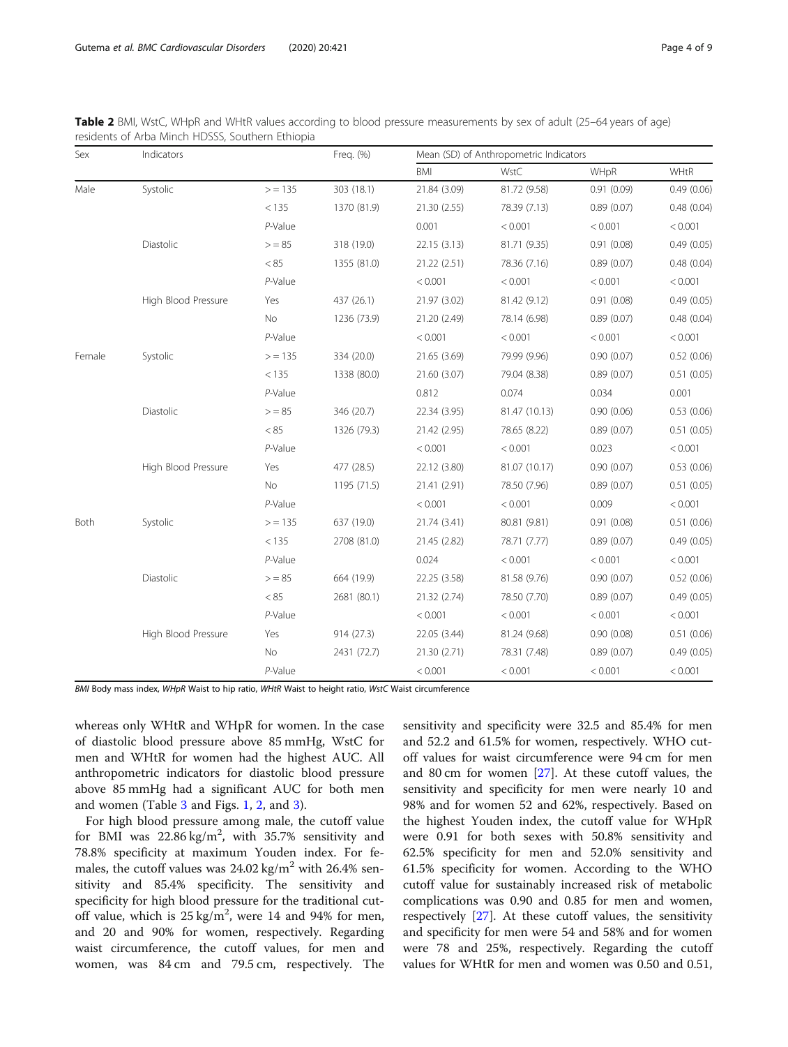<span id="page-3-0"></span>

| Table 2 BMI, WstC, WHpR and WHtR values according to blood pressure measurements by sex of adult (25-64 years of age) |  |
|-----------------------------------------------------------------------------------------------------------------------|--|
| residents of Arba Minch HDSSS, Southern Ethiopia                                                                      |  |

| Sex    | Indicators          |           | Freq. (%)   | Mean (SD) of Anthropometric Indicators |               |            |            |
|--------|---------------------|-----------|-------------|----------------------------------------|---------------|------------|------------|
|        |                     |           |             | <b>BMI</b>                             | WstC          | WHpR       | WHtR       |
| Male   | Systolic            | > 135     | 303 (18.1)  | 21.84 (3.09)                           | 81.72 (9.58)  | 0.91(0.09) | 0.49(0.06) |
|        |                     | < 135     | 1370 (81.9) | 21.30 (2.55)                           | 78.39 (7.13)  | 0.89(0.07) | 0.48(0.04) |
|        |                     | $P-Value$ |             | 0.001                                  | < 0.001       | < 0.001    | < 0.001    |
|        | Diastolic           | > 85      | 318 (19.0)  | 22.15 (3.13)                           | 81.71 (9.35)  | 0.91(0.08) | 0.49(0.05) |
|        |                     | < 85      | 1355 (81.0) | 21.22 (2.51)                           | 78.36 (7.16)  | 0.89(0.07) | 0.48(0.04) |
|        |                     | $P-Value$ |             | < 0.001                                | < 0.001       | < 0.001    | < 0.001    |
|        | High Blood Pressure | Yes       | 437 (26.1)  | 21.97 (3.02)                           | 81.42 (9.12)  | 0.91(0.08) | 0.49(0.05) |
|        |                     | No        | 1236 (73.9) | 21.20 (2.49)                           | 78.14 (6.98)  | 0.89(0.07) | 0.48(0.04) |
|        |                     | $P-Value$ |             | < 0.001                                | < 0.001       | < 0.001    | < 0.001    |
| Female | Systolic            | > 135     | 334 (20.0)  | 21.65 (3.69)                           | 79.99 (9.96)  | 0.90(0.07) | 0.52(0.06) |
|        |                     | < 135     | 1338 (80.0) | 21.60 (3.07)                           | 79.04 (8.38)  | 0.89(0.07) | 0.51(0.05) |
|        |                     | $P-Value$ |             | 0.812                                  | 0.074         | 0.034      | 0.001      |
|        | Diastolic           | > 85      | 346 (20.7)  | 22.34 (3.95)                           | 81.47 (10.13) | 0.90(0.06) | 0.53(0.06) |
|        |                     | < 85      | 1326 (79.3) | 21.42 (2.95)                           | 78.65 (8.22)  | 0.89(0.07) | 0.51(0.05) |
|        |                     | P-Value   |             | < 0.001                                | < 0.001       | 0.023      | < 0.001    |
|        | High Blood Pressure | Yes       | 477 (28.5)  | 22.12 (3.80)                           | 81.07 (10.17) | 0.90(0.07) | 0.53(0.06) |
|        |                     | <b>No</b> | 1195 (71.5) | 21.41 (2.91)                           | 78.50 (7.96)  | 0.89(0.07) | 0.51(0.05) |
|        |                     | P-Value   |             | < 0.001                                | < 0.001       | 0.009      | < 0.001    |
| Both   | Systolic            | > 135     | 637 (19.0)  | 21.74 (3.41)                           | 80.81 (9.81)  | 0.91(0.08) | 0.51(0.06) |
|        |                     | < 135     | 2708 (81.0) | 21.45 (2.82)                           | 78.71 (7.77)  | 0.89(0.07) | 0.49(0.05) |
|        |                     | $P-Value$ |             | 0.024                                  | < 0.001       | < 0.001    | < 0.001    |
|        | Diastolic           | $>$ = 85  | 664 (19.9)  | 22.25 (3.58)                           | 81.58 (9.76)  | 0.90(0.07) | 0.52(0.06) |
|        |                     | < 85      | 2681 (80.1) | 21.32 (2.74)                           | 78.50 (7.70)  | 0.89(0.07) | 0.49(0.05) |
|        |                     | $P-Value$ |             | < 0.001                                | < 0.001       | < 0.001    | < 0.001    |
|        | High Blood Pressure | Yes       | 914(27.3)   | 22.05 (3.44)                           | 81.24 (9.68)  | 0.90(0.08) | 0.51(0.06) |
|        |                     | No        | 2431 (72.7) | 21.30 (2.71)                           | 78.31 (7.48)  | 0.89(0.07) | 0.49(0.05) |
|        |                     | P-Value   |             | < 0.001                                | < 0.001       | < 0.001    | < 0.001    |

BMI Body mass index, WHpR Waist to hip ratio, WHtR Waist to height ratio, WstC Waist circumference

whereas only WHtR and WHpR for women. In the case of diastolic blood pressure above 85 mmHg, WstC for men and WHtR for women had the highest AUC. All anthropometric indicators for diastolic blood pressure above 85 mmHg had a significant AUC for both men and women (Table [3](#page-4-0) and Figs. [1,](#page-4-0) [2,](#page-5-0) and [3\)](#page-5-0).

For high blood pressure among male, the cutoff value for BMI was  $22.86 \text{ kg/m}^2$ , with 35.7% sensitivity and 78.8% specificity at maximum Youden index. For females, the cutoff values was  $24.02 \text{ kg/m}^2$  with  $26.4\%$  sensitivity and 85.4% specificity. The sensitivity and specificity for high blood pressure for the traditional cutoff value, which is  $25 \text{ kg/m}^2$ , were 14 and 94% for men, and 20 and 90% for women, respectively. Regarding waist circumference, the cutoff values, for men and women, was 84 cm and 79.5 cm, respectively. The sensitivity and specificity were 32.5 and 85.4% for men and 52.2 and 61.5% for women, respectively. WHO cutoff values for waist circumference were 94 cm for men and 80 cm for women [\[27](#page-8-0)]. At these cutoff values, the sensitivity and specificity for men were nearly 10 and 98% and for women 52 and 62%, respectively. Based on the highest Youden index, the cutoff value for WHpR were 0.91 for both sexes with 50.8% sensitivity and 62.5% specificity for men and 52.0% sensitivity and 61.5% specificity for women. According to the WHO cutoff value for sustainably increased risk of metabolic complications was 0.90 and 0.85 for men and women, respectively  $[27]$ . At these cutoff values, the sensitivity and specificity for men were 54 and 58% and for women were 78 and 25%, respectively. Regarding the cutoff values for WHtR for men and women was 0.50 and 0.51,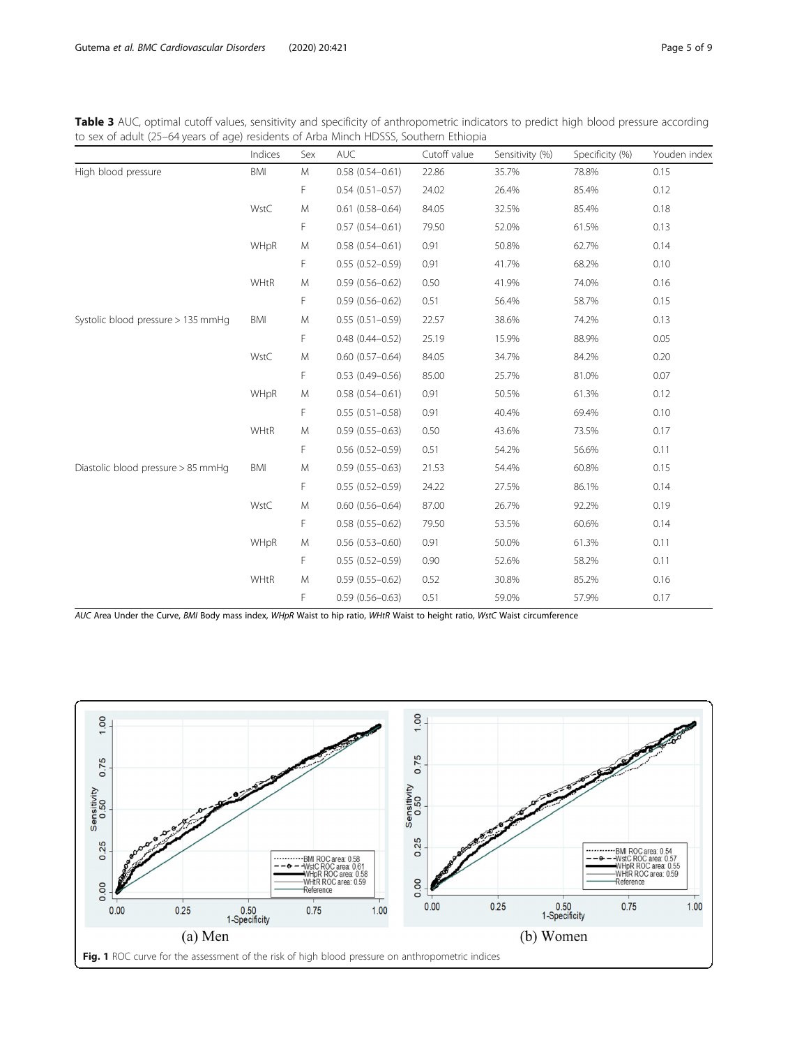<span id="page-4-0"></span>

|                                                                                       | Table 3 AUC, optimal cutoff values, sensitivity and specificity of anthropometric indicators to predict high blood pressure according |  |
|---------------------------------------------------------------------------------------|---------------------------------------------------------------------------------------------------------------------------------------|--|
| to sex of adult (25–64 years of age) residents of Arba Minch HDSSS, Southern Ethiopia |                                                                                                                                       |  |

|                                    | Indices     | Sex | <b>AUC</b>             | Cutoff value | Sensitivity (%) | Specificity (%) | Youden index |
|------------------------------------|-------------|-----|------------------------|--------------|-----------------|-----------------|--------------|
| High blood pressure                | BMI         | M   | $0.58(0.54 - 0.61)$    | 22.86        | 35.7%           | 78.8%           | 0.15         |
|                                    |             | F   | $0.54(0.51 - 0.57)$    | 24.02        | 26.4%           | 85.4%           | 0.12         |
|                                    | WstC        | M   | $0.61(0.58 - 0.64)$    | 84.05        | 32.5%           | 85.4%           | 0.18         |
|                                    |             | F   | $0.57(0.54 - 0.61)$    | 79.50        | 52.0%           | 61.5%           | 0.13         |
|                                    | WHpR        | M   | $0.58(0.54 - 0.61)$    | 0.91         | 50.8%           | 62.7%           | 0.14         |
|                                    |             | F   | $0.55(0.52 - 0.59)$    | 0.91         | 41.7%           | 68.2%           | 0.10         |
|                                    | <b>WHtR</b> | M   | $0.59(0.56 - 0.62)$    | 0.50         | 41.9%           | 74.0%           | 0.16         |
|                                    |             | F   | $0.59(0.56 - 0.62)$    | 0.51         | 56.4%           | 58.7%           | 0.15         |
| Systolic blood pressure > 135 mmHg | BMI         | M   | $0.55(0.51 - 0.59)$    | 22.57        | 38.6%           | 74.2%           | 0.13         |
|                                    |             | F   | $0.48(0.44 - 0.52)$    | 25.19        | 15.9%           | 88.9%           | 0.05         |
|                                    | WstC        | M   | $0.60(0.57 - 0.64)$    | 84.05        | 34.7%           | 84.2%           | 0.20         |
|                                    |             | F   | $0.53(0.49 - 0.56)$    | 85.00        | 25.7%           | 81.0%           | 0.07         |
|                                    | WHpR        | M   | $0.58(0.54 - 0.61)$    | 0.91         | 50.5%           | 61.3%           | 0.12         |
|                                    |             | F   | $0.55(0.51 - 0.58)$    | 0.91         | 40.4%           | 69.4%           | 0.10         |
|                                    | <b>WHtR</b> | M   | $0.59(0.55 - 0.63)$    | 0.50         | 43.6%           | 73.5%           | 0.17         |
|                                    |             | F   | $0.56$ (0.52-0.59)     | 0.51         | 54.2%           | 56.6%           | 0.11         |
| Diastolic blood pressure > 85 mmHg | BMI         | M   | $0.59(0.55 - 0.63)$    | 21.53        | 54.4%           | 60.8%           | 0.15         |
|                                    |             | F   | $0.55(0.52 - 0.59)$    | 24.22        | 27.5%           | 86.1%           | 0.14         |
|                                    | WstC        | M   | $0.60$ $(0.56 - 0.64)$ | 87.00        | 26.7%           | 92.2%           | 0.19         |
|                                    |             | F   | $0.58(0.55 - 0.62)$    | 79.50        | 53.5%           | 60.6%           | 0.14         |
|                                    | WHpR        | M   | $0.56(0.53 - 0.60)$    | 0.91         | 50.0%           | 61.3%           | 0.11         |
|                                    |             | F   | $0.55(0.52 - 0.59)$    | 0.90         | 52.6%           | 58.2%           | 0.11         |
|                                    | WHtR        | M   | $0.59(0.55 - 0.62)$    | 0.52         | 30.8%           | 85.2%           | 0.16         |
|                                    |             | F   | $0.59(0.56 - 0.63)$    | 0.51         | 59.0%           | 57.9%           | 0.17         |

AUC Area Under the Curve, BMI Body mass index, WHpR Waist to hip ratio, WHtR Waist to height ratio, WstC Waist circumference

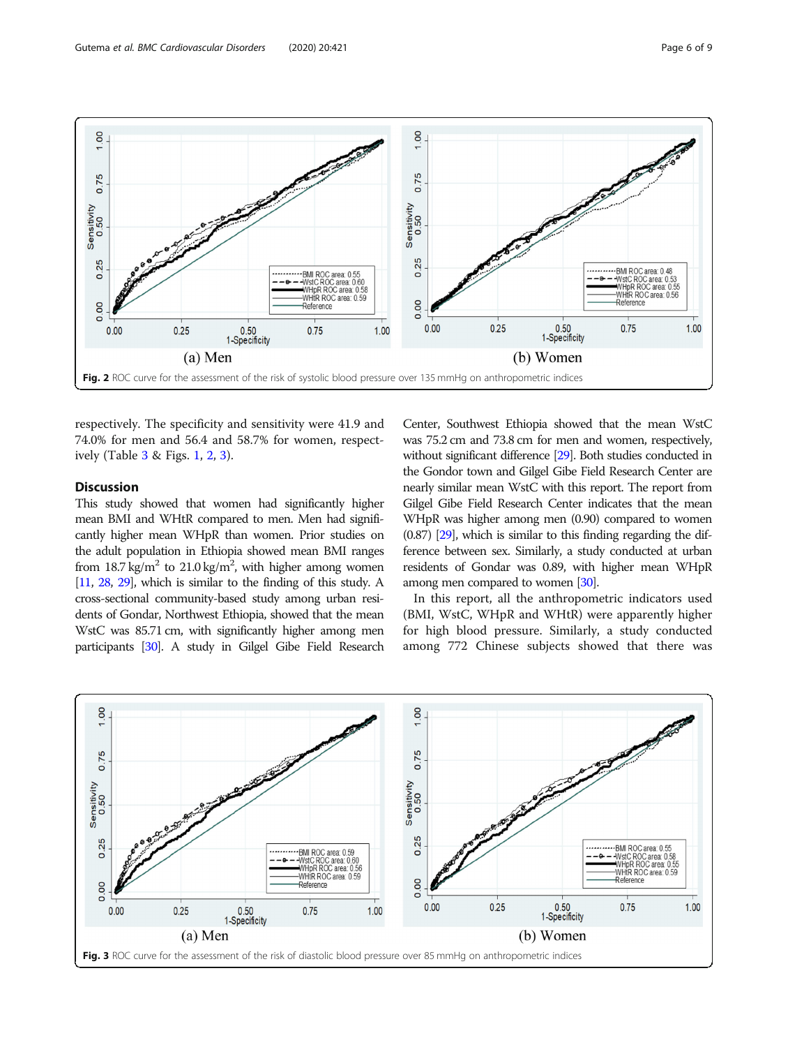<span id="page-5-0"></span>

respectively. The specificity and sensitivity were 41.9 and 74.0% for men and 56.4 and 58.7% for women, respectively (Table [3](#page-4-0) & Figs. [1](#page-4-0), 2, 3).

# **Discussion**

This study showed that women had significantly higher mean BMI and WHtR compared to men. Men had significantly higher mean WHpR than women. Prior studies on the adult population in Ethiopia showed mean BMI ranges from 18.7 kg/m<sup>2</sup> to 21.0 kg/m<sup>2</sup>, with higher among women [[11,](#page-7-0) [28,](#page-8-0) [29](#page-8-0)], which is similar to the finding of this study. A cross-sectional community-based study among urban residents of Gondar, Northwest Ethiopia, showed that the mean WstC was 85.71 cm, with significantly higher among men participants [[30\]](#page-8-0). A study in Gilgel Gibe Field Research Center, Southwest Ethiopia showed that the mean WstC was 75.2 cm and 73.8 cm for men and women, respectively, without significant difference [\[29\]](#page-8-0). Both studies conducted in the Gondor town and Gilgel Gibe Field Research Center are nearly similar mean WstC with this report. The report from Gilgel Gibe Field Research Center indicates that the mean WHpR was higher among men (0.90) compared to women (0.87) [\[29](#page-8-0)], which is similar to this finding regarding the difference between sex. Similarly, a study conducted at urban residents of Gondar was 0.89, with higher mean WHpR among men compared to women [\[30](#page-8-0)].

In this report, all the anthropometric indicators used (BMI, WstC, WHpR and WHtR) were apparently higher for high blood pressure. Similarly, a study conducted among 772 Chinese subjects showed that there was

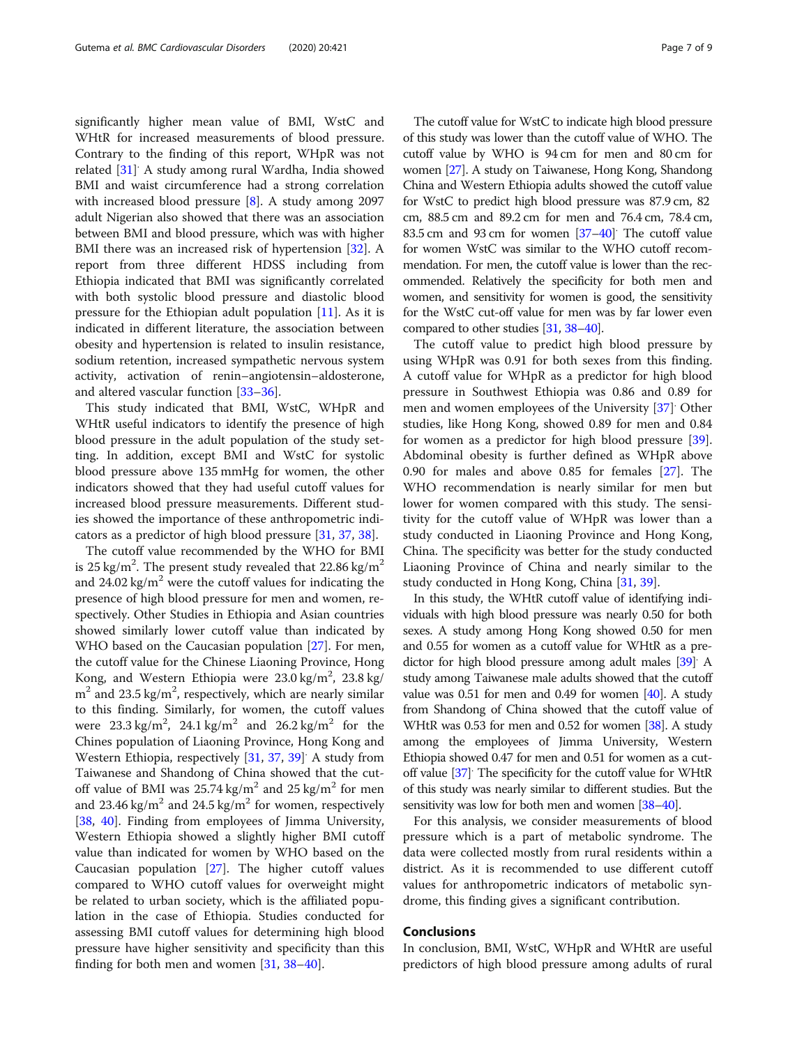significantly higher mean value of BMI, WstC and WHtR for increased measurements of blood pressure. Contrary to the finding of this report, WHpR was not related [[31\]](#page-8-0) . A study among rural Wardha, India showed BMI and waist circumference had a strong correlation with increased blood pressure [[8\]](#page-7-0). A study among 2097 adult Nigerian also showed that there was an association between BMI and blood pressure, which was with higher BMI there was an increased risk of hypertension [\[32\]](#page-8-0). A report from three different HDSS including from Ethiopia indicated that BMI was significantly correlated with both systolic blood pressure and diastolic blood pressure for the Ethiopian adult population  $[11]$  $[11]$  $[11]$ . As it is indicated in different literature, the association between obesity and hypertension is related to insulin resistance, sodium retention, increased sympathetic nervous system activity, activation of renin–angiotensin–aldosterone, and altered vascular function [[33](#page-8-0)–[36](#page-8-0)].

This study indicated that BMI, WstC, WHpR and WHtR useful indicators to identify the presence of high blood pressure in the adult population of the study setting. In addition, except BMI and WstC for systolic blood pressure above 135 mmHg for women, the other indicators showed that they had useful cutoff values for increased blood pressure measurements. Different studies showed the importance of these anthropometric indicators as a predictor of high blood pressure [\[31,](#page-8-0) [37,](#page-8-0) [38\]](#page-8-0).

The cutoff value recommended by the WHO for BMI is 25 kg/m<sup>2</sup>. The present study revealed that 22.86 kg/m<sup>2</sup> and  $24.02 \text{ kg/m}^2$  were the cutoff values for indicating the presence of high blood pressure for men and women, respectively. Other Studies in Ethiopia and Asian countries showed similarly lower cutoff value than indicated by WHO based on the Caucasian population [\[27](#page-8-0)]. For men, the cutoff value for the Chinese Liaoning Province, Hong Kong, and Western Ethiopia were  $23.0 \text{ kg/m}^2$ ,  $23.8 \text{ kg/s}$  $m^2$  and 23.5 kg/m<sup>2</sup>, respectively, which are nearly similar to this finding. Similarly, for women, the cutoff values were  $23.3 \text{ kg/m}^2$ ,  $24.1 \text{ kg/m}^2$  and  $26.2 \text{ kg/m}^2$  for the Chines population of Liaoning Province, Hong Kong and Western Ethiopia, respectively [[31](#page-8-0), [37](#page-8-0), [39\]](#page-8-0) A study from Taiwanese and Shandong of China showed that the cutoff value of BMI was  $25.74 \text{ kg/m}^2$  and  $25 \text{ kg/m}^2$  for men and 23.46 kg/m<sup>2</sup> and 24.5 kg/m<sup>2</sup> for women, respectively [[38,](#page-8-0) [40](#page-8-0)]. Finding from employees of Jimma University, Western Ethiopia showed a slightly higher BMI cutoff value than indicated for women by WHO based on the Caucasian population [\[27](#page-8-0)]. The higher cutoff values compared to WHO cutoff values for overweight might be related to urban society, which is the affiliated population in the case of Ethiopia. Studies conducted for assessing BMI cutoff values for determining high blood pressure have higher sensitivity and specificity than this finding for both men and women [[31](#page-8-0), [38](#page-8-0)–[40](#page-8-0)].

The cutoff value for WstC to indicate high blood pressure of this study was lower than the cutoff value of WHO. The cutoff value by WHO is 94 cm for men and 80 cm for women [[27\]](#page-8-0). A study on Taiwanese, Hong Kong, Shandong China and Western Ethiopia adults showed the cutoff value for WstC to predict high blood pressure was 87.9 cm, 82 cm, 88.5 cm and 89.2 cm for men and 76.4 cm, 78.4 cm, 83.5 cm and 93 cm for women [[37](#page-8-0)–[40](#page-8-0)] . The cutoff value for women WstC was similar to the WHO cutoff recommendation. For men, the cutoff value is lower than the recommended. Relatively the specificity for both men and women, and sensitivity for women is good, the sensitivity for the WstC cut-off value for men was by far lower even compared to other studies [\[31](#page-8-0), [38](#page-8-0)–[40\]](#page-8-0).

The cutoff value to predict high blood pressure by using WHpR was 0.91 for both sexes from this finding. A cutoff value for WHpR as a predictor for high blood pressure in Southwest Ethiopia was 0.86 and 0.89 for men and women employees of the University [[37\]](#page-8-0) . Other studies, like Hong Kong, showed 0.89 for men and 0.84 for women as a predictor for high blood pressure [\[39](#page-8-0)]. Abdominal obesity is further defined as WHpR above 0.90 for males and above 0.85 for females [[27](#page-8-0)]. The WHO recommendation is nearly similar for men but lower for women compared with this study. The sensitivity for the cutoff value of WHpR was lower than a study conducted in Liaoning Province and Hong Kong, China. The specificity was better for the study conducted Liaoning Province of China and nearly similar to the study conducted in Hong Kong, China [\[31,](#page-8-0) [39\]](#page-8-0).

In this study, the WHtR cutoff value of identifying individuals with high blood pressure was nearly 0.50 for both sexes. A study among Hong Kong showed 0.50 for men and 0.55 for women as a cutoff value for WHtR as a predictor for high blood pressure among adult males [\[39](#page-8-0)] . A study among Taiwanese male adults showed that the cutoff value was  $0.51$  for men and  $0.49$  for women  $[40]$ . A study from Shandong of China showed that the cutoff value of WHtR was 0.53 for men and 0.52 for women [\[38\]](#page-8-0). A study among the employees of Jimma University, Western Ethiopia showed 0.47 for men and 0.51 for women as a cutoff value [\[37](#page-8-0)] . The specificity for the cutoff value for WHtR of this study was nearly similar to different studies. But the sensitivity was low for both men and women  $[38-40]$  $[38-40]$  $[38-40]$  $[38-40]$ .

For this analysis, we consider measurements of blood pressure which is a part of metabolic syndrome. The data were collected mostly from rural residents within a district. As it is recommended to use different cutoff values for anthropometric indicators of metabolic syndrome, this finding gives a significant contribution.

# Conclusions

In conclusion, BMI, WstC, WHpR and WHtR are useful predictors of high blood pressure among adults of rural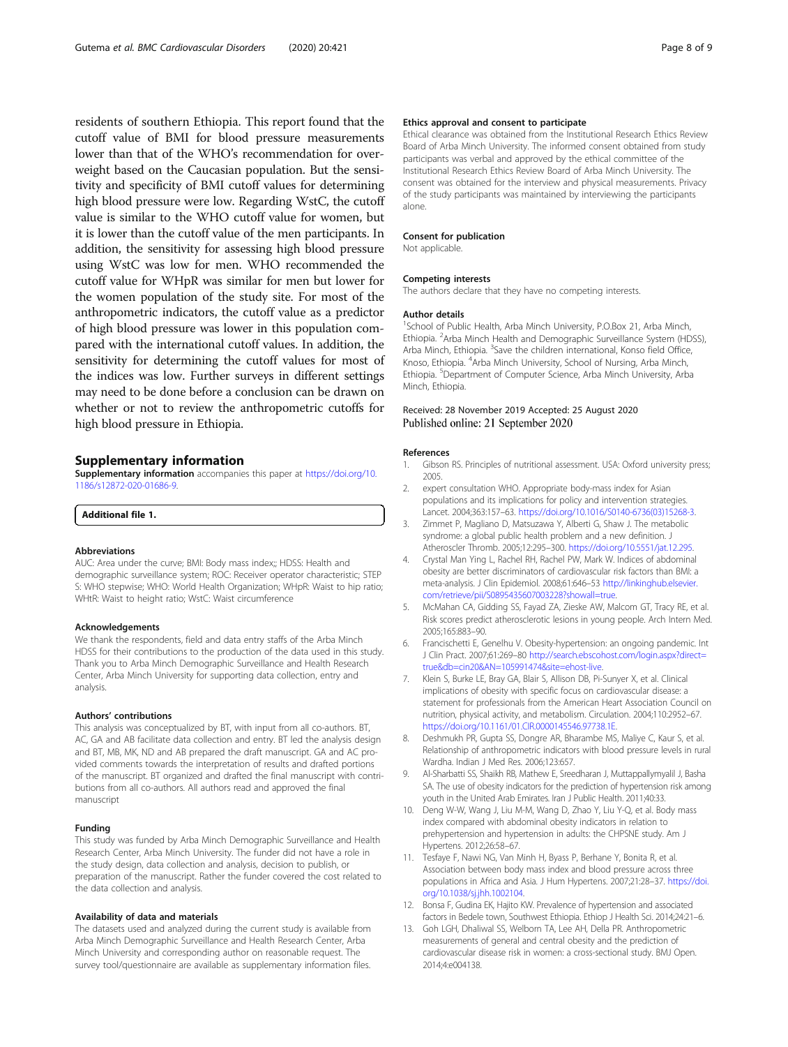<span id="page-7-0"></span>residents of southern Ethiopia. This report found that the cutoff value of BMI for blood pressure measurements lower than that of the WHO's recommendation for overweight based on the Caucasian population. But the sensitivity and specificity of BMI cutoff values for determining high blood pressure were low. Regarding WstC, the cutoff value is similar to the WHO cutoff value for women, but it is lower than the cutoff value of the men participants. In addition, the sensitivity for assessing high blood pressure using WstC was low for men. WHO recommended the cutoff value for WHpR was similar for men but lower for the women population of the study site. For most of the anthropometric indicators, the cutoff value as a predictor of high blood pressure was lower in this population compared with the international cutoff values. In addition, the sensitivity for determining the cutoff values for most of the indices was low. Further surveys in different settings may need to be done before a conclusion can be drawn on whether or not to review the anthropometric cutoffs for high blood pressure in Ethiopia.

# Supplementary information

Supplementary information accompanies this paper at [https://doi.org/10.](https://doi.org/10.1186/s12872-020-01686-9) [1186/s12872-020-01686-9](https://doi.org/10.1186/s12872-020-01686-9).

# Additional file 1.

#### Abbreviations

AUC: Area under the curve; BMI: Body mass index;; HDSS: Health and demographic surveillance system; ROC: Receiver operator characteristic; STEP S: WHO stepwise; WHO: World Health Organization; WHpR: Waist to hip ratio; WHtR: Waist to height ratio; WstC: Waist circumference

#### Acknowledgements

We thank the respondents, field and data entry staffs of the Arba Minch HDSS for their contributions to the production of the data used in this study. Thank you to Arba Minch Demographic Surveillance and Health Research Center, Arba Minch University for supporting data collection, entry and analysis.

#### Authors' contributions

This analysis was conceptualized by BT, with input from all co-authors. BT, AC, GA and AB facilitate data collection and entry. BT led the analysis design and BT, MB, MK, ND and AB prepared the draft manuscript. GA and AC provided comments towards the interpretation of results and drafted portions of the manuscript. BT organized and drafted the final manuscript with contributions from all co-authors. All authors read and approved the final manuscript

## Funding

This study was funded by Arba Minch Demographic Surveillance and Health Research Center, Arba Minch University. The funder did not have a role in the study design, data collection and analysis, decision to publish, or preparation of the manuscript. Rather the funder covered the cost related to the data collection and analysis.

#### Availability of data and materials

The datasets used and analyzed during the current study is available from Arba Minch Demographic Surveillance and Health Research Center, Arba Minch University and corresponding author on reasonable request. The survey tool/questionnaire are available as supplementary information files.

#### Ethics approval and consent to participate

Ethical clearance was obtained from the Institutional Research Ethics Review Board of Arba Minch University. The informed consent obtained from study participants was verbal and approved by the ethical committee of the Institutional Research Ethics Review Board of Arba Minch University. The consent was obtained for the interview and physical measurements. Privacy of the study participants was maintained by interviewing the participants alone.

#### Consent for publication

Not applicable.

## Competing interests

The authors declare that they have no competing interests.

#### Author details

<sup>1</sup>School of Public Health, Arba Minch University, P.O.Box 21, Arba Minch Ethiopia. <sup>2</sup> Arba Minch Health and Demographic Surveillance System (HDSS) Arba Minch, Ethiopia. <sup>3</sup> Save the children international, Konso field Office Knoso, Ethiopia. <sup>4</sup>Arba Minch University, School of Nursing, Arba Minch Ethiopia. <sup>5</sup>Department of Computer Science, Arba Minch University, Arba Minch, Ethiopia.

## Received: 28 November 2019 Accepted: 25 August 2020 Published online: 21 September 2020

#### References

- 1. Gibson RS. Principles of nutritional assessment. USA: Oxford university press; 2005.
- 2. expert consultation WHO. Appropriate body-mass index for Asian populations and its implications for policy and intervention strategies. Lancet. 2004;363:157–63. [https://doi.org/10.1016/S0140-6736\(03\)15268-3](https://doi.org/10.1016/S0140-6736(03)15268-3).
- 3. Zimmet P, Magliano D, Matsuzawa Y, Alberti G, Shaw J. The metabolic syndrome: a global public health problem and a new definition. J Atheroscler Thromb. 2005;12:295–300. [https://doi.org/10.5551/jat.12.295.](https://doi.org/10.5551/jat.12.295)
- 4. Crystal Man Ying L, Rachel RH, Rachel PW, Mark W. Indices of abdominal obesity are better discriminators of cardiovascular risk factors than BMI: a meta-analysis. J Clin Epidemiol. 2008;61:646–53 [http://linkinghub.elsevier.](http://linkinghub.elsevier.com/retrieve/pii/S0895435607003228?showall=true) [com/retrieve/pii/S0895435607003228?showall=true](http://linkinghub.elsevier.com/retrieve/pii/S0895435607003228?showall=true).
- 5. McMahan CA, Gidding SS, Fayad ZA, Zieske AW, Malcom GT, Tracy RE, et al. Risk scores predict atherosclerotic lesions in young people. Arch Intern Med. 2005;165:883–90.
- 6. Francischetti E, Genelhu V. Obesity-hypertension: an ongoing pandemic. Int J Clin Pract. 2007;61:269–80 [http://search.ebscohost.com/login.aspx?direct=](http://search.ebscohost.com/login.aspx?direct=true&db=cin20&AN=105991474&site=ehost-live) [true&db=cin20&AN=105991474&site=ehost-live.](http://search.ebscohost.com/login.aspx?direct=true&db=cin20&AN=105991474&site=ehost-live)
- 7. Klein S, Burke LE, Bray GA, Blair S, Allison DB, Pi-Sunyer X, et al. Clinical implications of obesity with specific focus on cardiovascular disease: a statement for professionals from the American Heart Association Council on nutrition, physical activity, and metabolism. Circulation. 2004;110:2952–67. <https://doi.org/10.1161/01.CIR.0000145546.97738.1E>.
- 8. Deshmukh PR, Gupta SS, Dongre AR, Bharambe MS, Maliye C, Kaur S, et al. Relationship of anthropometric indicators with blood pressure levels in rural Wardha. Indian J Med Res. 2006;123:657.
- Al-Sharbatti SS, Shaikh RB, Mathew E, Sreedharan J, Muttappallymyalil J, Basha SA. The use of obesity indicators for the prediction of hypertension risk among youth in the United Arab Emirates. Iran J Public Health. 2011;40:33.
- 10. Deng W-W, Wang J, Liu M-M, Wang D, Zhao Y, Liu Y-Q, et al. Body mass index compared with abdominal obesity indicators in relation to prehypertension and hypertension in adults: the CHPSNE study. Am J Hypertens. 2012;26:58–67.
- 11. Tesfaye F, Nawi NG, Van Minh H, Byass P, Berhane Y, Bonita R, et al. Association between body mass index and blood pressure across three populations in Africa and Asia. J Hum Hypertens. 2007;21:28–37. [https://doi.](https://doi.org/10.1038/sj.jhh.1002104) [org/10.1038/sj.jhh.1002104](https://doi.org/10.1038/sj.jhh.1002104).
- 12. Bonsa F, Gudina EK, Hajito KW. Prevalence of hypertension and associated factors in Bedele town, Southwest Ethiopia. Ethiop J Health Sci. 2014;24:21–6.
- 13. Goh LGH, Dhaliwal SS, Welborn TA, Lee AH, Della PR. Anthropometric measurements of general and central obesity and the prediction of cardiovascular disease risk in women: a cross-sectional study. BMJ Open. 2014;4:e004138.